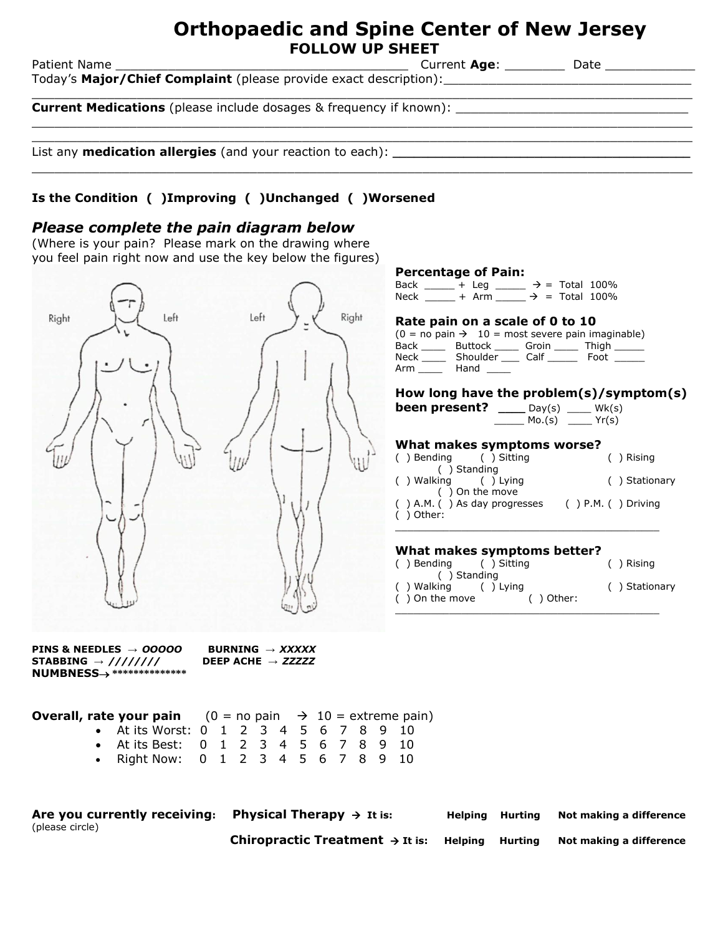## **Orthopaedic and Spine Center of New Jersey FOLLOW UP SHEET**

Patient Name \_\_\_\_\_\_\_\_\_\_\_\_\_\_\_\_\_\_\_\_\_\_\_\_\_\_\_\_\_\_\_\_\_\_\_\_\_\_\_ Current **Age**: \_\_\_\_\_\_\_\_ Date \_\_\_\_\_\_\_\_\_\_\_\_ Today's **Major/Chief Complaint** (please provide exact description):\_\_\_\_\_\_\_\_\_\_\_\_\_\_\_\_\_\_\_\_\_\_\_\_\_\_\_\_\_\_\_\_\_  $\_$  , and the set of the set of the set of the set of the set of the set of the set of the set of the set of the set of the set of the set of the set of the set of the set of the set of the set of the set of the set of th

 $\_$  ,  $\_$  ,  $\_$  ,  $\_$  ,  $\_$  ,  $\_$  ,  $\_$  ,  $\_$  ,  $\_$  ,  $\_$  ,  $\_$  ,  $\_$  ,  $\_$  ,  $\_$  ,  $\_$  ,  $\_$  ,  $\_$  ,  $\_$  ,  $\_$  ,  $\_$  ,  $\_$  ,  $\_$  ,  $\_$  ,  $\_$  ,  $\_$  ,  $\_$  ,  $\_$  ,  $\_$  ,  $\_$  ,  $\_$  ,  $\_$  ,  $\_$  ,  $\_$  ,  $\_$  ,  $\_$  ,  $\_$  ,  $\_$  ,

 $\_$  ,  $\_$  ,  $\_$  ,  $\_$  ,  $\_$  ,  $\_$  ,  $\_$  ,  $\_$  ,  $\_$  ,  $\_$  ,  $\_$  ,  $\_$  ,  $\_$  ,  $\_$  ,  $\_$  ,  $\_$  ,  $\_$  ,  $\_$  ,  $\_$  ,  $\_$  ,  $\_$  ,  $\_$  ,  $\_$  ,  $\_$  ,  $\_$  ,  $\_$  ,  $\_$  ,  $\_$  ,  $\_$  ,  $\_$  ,  $\_$  ,  $\_$  ,  $\_$  ,  $\_$  ,  $\_$  ,  $\_$  ,  $\_$  ,

**Current Medications** (please include dosages & frequency if known): \_\_\_\_\_\_\_\_\_\_\_\_\_\_\_\_\_\_\_\_\_\_\_\_\_\_\_\_\_\_\_  $\_$  ,  $\_$  ,  $\_$  ,  $\_$  ,  $\_$  ,  $\_$  ,  $\_$  ,  $\_$  ,  $\_$  ,  $\_$  ,  $\_$  ,  $\_$  ,  $\_$  ,  $\_$  ,  $\_$  ,  $\_$  ,  $\_$  ,  $\_$  ,  $\_$  ,  $\_$  ,  $\_$  ,  $\_$  ,  $\_$  ,  $\_$  ,  $\_$  ,  $\_$  ,  $\_$  ,  $\_$  ,  $\_$  ,  $\_$  ,  $\_$  ,  $\_$  ,  $\_$  ,  $\_$  ,  $\_$  ,  $\_$  ,  $\_$  ,

List any **medication allergies** (and your reaction to each): **\_\_\_\_\_\_\_\_\_\_\_\_\_\_\_\_\_\_\_\_\_\_\_\_\_\_\_\_\_\_\_\_\_\_\_\_\_\_\_\_\_\_**

## **Is the Condition ( )Improving ( )Unchanged ( )Worsened**

### *Please complete the pain diagram below*

(Where is your pain? Please mark on the drawing where you feel pain right now and use the key below the figures)



| <b>Percentage of Pain:</b>                                |                 |  |               |  |  |  |
|-----------------------------------------------------------|-----------------|--|---------------|--|--|--|
| Back $-$ + Leg $ \rightarrow$ = Total 100%                |                 |  |               |  |  |  |
| Neck + Arm $\rightarrow$ = Total 100%                     |                 |  |               |  |  |  |
|                                                           |                 |  |               |  |  |  |
| Rate pain on a scale of 0 to 10                           |                 |  |               |  |  |  |
| $(0 = no pain \rightarrow 10 = most severe pain imagine)$ |                 |  |               |  |  |  |
| Back Buttock Groin Thigh                                  |                 |  |               |  |  |  |
| Neck Shoulder Calf Foot                                   |                 |  |               |  |  |  |
| Arm Hand                                                  |                 |  |               |  |  |  |
|                                                           |                 |  |               |  |  |  |
| How long have the problem(s)/symptom(s)                   |                 |  |               |  |  |  |
| <b>been present?</b> ____ Day(s) ____ Wk(s)               |                 |  |               |  |  |  |
|                                                           | $Mo(S)$ $Yr(s)$ |  |               |  |  |  |
|                                                           |                 |  |               |  |  |  |
| What makes symptoms worse?                                |                 |  |               |  |  |  |
| () Bending () Sitting                                     |                 |  | $( )$ Rising  |  |  |  |
| ( ) Standing                                              |                 |  |               |  |  |  |
| () Walking () Lying                                       |                 |  | () Stationary |  |  |  |
| () On the move                                            |                 |  |               |  |  |  |
| $( )$ A.M. () As day progresses () P.M. () Driving        |                 |  |               |  |  |  |
| () Other:                                                 |                 |  |               |  |  |  |

#### **What makes symptoms better?**

| () Bending () Sitting                 |            | ( ) Rising    |
|---------------------------------------|------------|---------------|
| () Standing                           |            |               |
| () Walking () Lying<br>() On the move | ( ) Other: | () Stationary |
|                                       |            |               |

\_\_\_\_\_\_\_\_\_\_\_\_\_\_\_\_\_\_\_\_\_\_\_\_\_\_\_\_\_\_\_\_\_\_\_\_\_\_\_\_\_\_\_\_

**PINS & NEEDLES →** *OOOOO* **BURNING →** *XXXXX*  $\mathsf{STABBING}\rightarrow\mathsf{\frac{\mathcal{U}}{\mathcal{U}}\mathcal{U}}\mathcal{U}}$ **NUMBNESS \*\*\*\*\*\*\*\*\*\*\*\*\*\***

- At its Worst: 0 1 2 3 4 5 6 7 8 9 10 At its Best: 0 1 2 3 4 5 6 7 8 9 10
- Right Now: 0 1 2 3 4 5 6 7 8 9 10

**Are you currently receiving: Physical Therapy It is: Helping Hurting Not making a difference** (please circle) **Chiropractic Treatment**  $\rightarrow$  It is: Helping Hurting Not making a difference